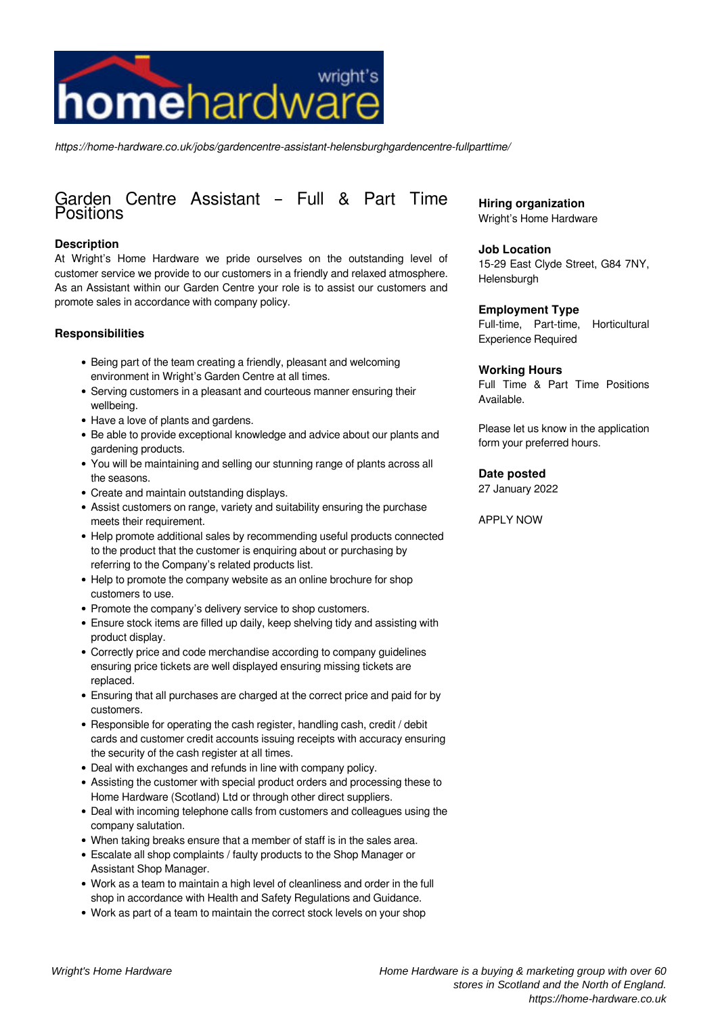

*https://home-hardware.co.uk/jobs/gardencentre-assistant-helensburghgardencentre-fullparttime/*

# Garden Centre Assistant – Full & Part Time **Positions**

# **Description**

At Wright's Home Hardware we pride ourselves on the outstanding level of customer service we provide to our customers in a friendly and relaxed atmosphere. As an Assistant within our Garden Centre your role is to assist our customers and promote sales in accordance with company policy.

# **Responsibilities**

- Being part of the team creating a friendly, pleasant and welcoming environment in Wright's Garden Centre at all times.
- Serving customers in a pleasant and courteous manner ensuring their wellbeing.
- Have a love of plants and gardens.
- Be able to provide exceptional knowledge and advice about our plants and gardening products.
- You will be maintaining and selling our stunning range of plants across all the seasons.
- Create and maintain outstanding displays.
- Assist customers on range, variety and suitability ensuring the purchase meets their requirement.
- Help promote additional sales by recommending useful products connected to the product that the customer is enquiring about or purchasing by referring to the Company's related products list.
- Help to promote the company website as an online brochure for shop customers to use.
- Promote the company's delivery service to shop customers.
- Ensure stock items are filled up daily, keep shelving tidy and assisting with product display.
- Correctly price and code merchandise according to company guidelines ensuring price tickets are well displayed ensuring missing tickets are replaced.
- Ensuring that all purchases are charged at the correct price and paid for by customers.
- Responsible for operating the cash register, handling cash, credit / debit cards and customer credit accounts issuing receipts with accuracy ensuring the security of the cash register at all times.
- Deal with exchanges and refunds in line with company policy.
- Assisting the customer with special product orders and processing these to Home Hardware (Scotland) Ltd or through other direct suppliers.
- Deal with incoming telephone calls from customers and colleagues using the company salutation.
- When taking breaks ensure that a member of staff is in the sales area.
- Escalate all shop complaints / faulty products to the Shop Manager or Assistant Shop Manager.
- Work as a team to maintain a high level of cleanliness and order in the full shop in accordance with Health and Safety Regulations and Guidance.
- Work as part of a team to maintain the correct stock levels on your shop

**Hiring organization** Wright's Home Hardware

# **Job Location**

15-29 East Clyde Street, G84 7NY, Helensburgh

#### **Employment Type**

Full-time, Part-time, Horticultural Experience Required

## **Working Hours**

Full Time & Part Time Positions Available.

Please let us know in the application form your preferred hours.

# **Date posted**

27 January 2022

#### APPLY NOW